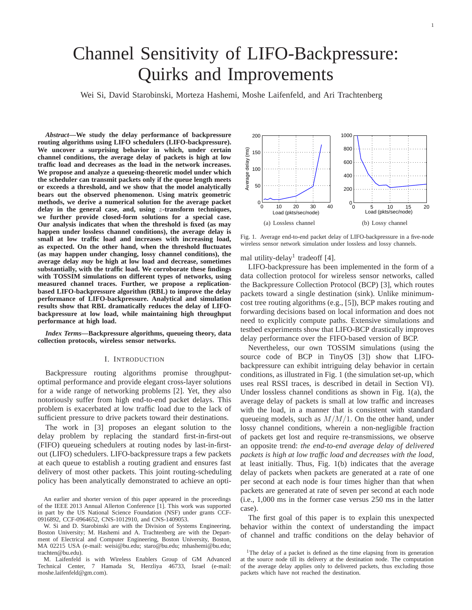# Channel Sensitivity of LIFO-Backpressure: Quirks and Improvements

Wei Si, David Starobinski, Morteza Hashemi, Moshe Laifenfeld, and Ari Trachtenberg

*Abstract***—We study the delay performance of backpressure routing algorithms using LIFO schedulers (LIFO-backpressure). We uncover a surprising behavior in which, under certain channel conditions, the average delay of packets is high at low traffic load and decreases as the load in the network increases. We propose and analyze a queueing-theoretic model under which the scheduler can transmit packets only if the queue length meets or exceeds a threshold, and we show that the model analytically bears out the observed phenomenon. Using matrix geometric methods, we derive a numerical solution for the average packet delay in the general case, and, using** z**-transform techniques, we further provide closed-form solutions for a special case. Our analysis indicates that when the threshold is fixed (as may happen under lossless channel conditions), the average delay is small at low traffic load and increases with increasing load, as expected. On the other hand, when the threshold fluctuates (as may happen under changing, lossy channel conditions), the average delay** *may* **be high at low load and decrease, sometimes substantially, with the traffic load. We corroborate these findings with TOSSIM simulations on different types of networks, using measured channel traces. Further, we propose a replicationbased LIFO-backpressure algorithm (RBL) to improve the delay performance of LIFO-backpressure. Analytical and simulation results show that RBL dramatically reduces the delay of LIFObackpressure at low load, while maintaining high throughput performance at high load.**

*Index Terms***—Backpressure algorithms, queueing theory, data collection protocols, wireless sensor networks.**

# I. INTRODUCTION

Backpressure routing algorithms promise throughputoptimal performance and provide elegant cross-layer solutions for a wide range of networking problems [2]. Yet, they also notoriously suffer from high end-to-end packet delays. This problem is exacerbated at low traffic load due to the lack of sufficient pressure to drive packets toward their destinations.

The work in [3] proposes an elegant solution to the delay problem by replacing the standard first-in-first-out (FIFO) queueing schedulers at routing nodes by last-in-firstout (LIFO) schedulers. LIFO-backpressure traps a few packets at each queue to establish a routing gradient and ensures fast delivery of most other packets. This joint routing-scheduling policy has been analytically demonstrated to achieve an opti-



Fig. 1. Average end-to-end packet delay of LIFO-backpressure in a five-node wireless sensor network simulation under lossless and lossy channels.

mal utility-delay<sup>1</sup> tradeoff [4].

LIFO-backpressure has been implemented in the form of a data collection protocol for wireless sensor networks, called the Backpressure Collection Protocol (BCP) [3], which routes packets toward a single destination (sink). Unlike minimumcost tree routing algorithms (e.g., [5]), BCP makes routing and forwarding decisions based on local information and does not need to explicitly compute paths. Extensive simulations and testbed experiments show that LIFO-BCP drastically improves delay performance over the FIFO-based version of BCP.

Nevertheless, our own TOSSIM simulations (using the source code of BCP in TinyOS [3]) show that LIFObackpressure can exhibit intriguing delay behavior in certain conditions, as illustrated in Fig. 1 (the simulation set-up, which uses real RSSI traces, is described in detail in Section VI). Under lossless channel conditions as shown in Fig. 1(a), the average delay of packets is small at low traffic and increases with the load, in a manner that is consistent with standard queueing models, such as  $M/M/1$ . On the other hand, under lossy channel conditions, wherein a non-negligible fraction of packets get lost and require re-transmissions, we observe an opposite trend: *the end-to-end average delay of delivered packets is high at low traffic load and decreases with the load*, at least initially. Thus, Fig. 1(b) indicates that the average delay of packets when packets are generated at a rate of one per second at each node is four times higher than that when packets are generated at rate of seven per second at each node (i.e., 1,000 ms in the former case versus 250 ms in the latter case).

The first goal of this paper is to explain this unexpected behavior within the context of understanding the impact of channel and traffic conditions on the delay behavior of

An earlier and shorter version of this paper appeared in the proceedings of the IEEE 2013 Annual Allerton Conference [1]. This work was supported in part by the US National Science Foundation (NSF) under grants CCF-0916892, CCF-0964652, CNS-1012910, and CNS-1409053.

W. Si and D. Starobinski are with the Division of Systems Engineering, Boston University; M. Hashemi and A. Trachtenberg are with the Department of Electrical and Computer Engineering, Boston University, Boston, MA 02215 USA (e-mail: weisi@bu.edu; staro@bu.edu; mhashemi@bu.edu; trachten@bu.edu).

M. Laifenfeld is with Wireless Enablers Group of GM Advanced Technical Center, 7 Hamada St, Herzliya 46733, Israel (e-mail: moshe.laifenfeld@gm.com).

<sup>&</sup>lt;sup>1</sup>The delay of a packet is defined as the time elapsing from its generation at the source node till its delivery at the destination node. The computation of the average delay applies only to delivered packets, thus excluding those packets which have not reached the destination.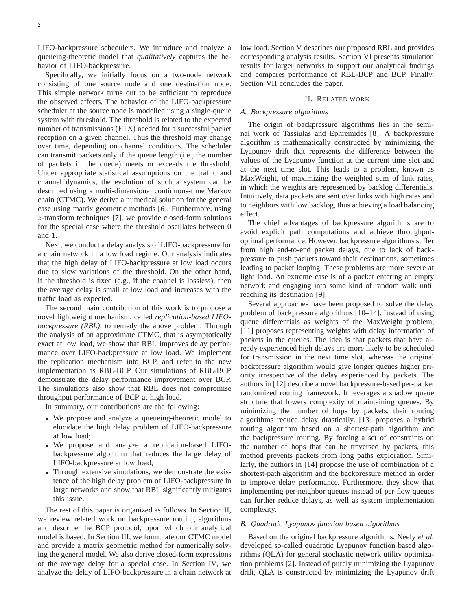LIFO-backpressure schedulers. We introduce and analyze a queueing-theoretic model that *qualitatively* captures the behavior of LIFO-backpressure.

Specifically, we initially focus on a two-node network consisting of one source node and one destination node. This simple network turns out to be sufficient to reproduce the observed effects. The behavior of the LIFO-backpressure scheduler at the source node is modelled using a single-queue system with threshold. The threshold is related to the expected number of transmissions (ETX) needed for a successful packet reception on a given channel. Thus the threshold may change over time, depending on channel conditions. The scheduler can transmit packets only if the queue length (i.e., the number of packets in the queue) meets or exceeds the threshold. Under appropriate statistical assumptions on the traffic and channel dynamics, the evolution of such a system can be described using a multi-dimensional continuous-time Markov chain (CTMC). We derive a numerical solution for the general case using matrix geometric methods [6]. Furthermore, using z-transform techniques [7], we provide closed-form solutions for the special case where the threshold oscillates between 0 and 1.

Next, we conduct a delay analysis of LIFO-backpressure for a chain network in a low load regime. Our analysis indicates that the high delay of LIFO-backpressure at low load occurs due to slow variations of the threshold. On the other hand, if the threshold is fixed (e.g., if the channel is lossless), then the average delay is small at low load and increases with the traffic load as expected.

The second main contribution of this work is to propose a novel lightweight mechanism, called *replication-based LIFObackpressure (RBL)*, to remedy the above problem. Through the analysis of an approximate CTMC, that is asymptotically exact at low load, we show that RBL improves delay performance over LIFO-backpressure at low load. We implement the replication mechanism into BCP, and refer to the new implementation as RBL-BCP. Our simulations of RBL-BCP demonstrate the delay performance improvement over BCP. The simulations also show that RBL does not compromise throughput performance of BCP at high load.

In summary, our contributions are the following:

- We propose and analyze a queueing-theoretic model to elucidate the high delay problem of LIFO-backpressure at low load;
- We propose and analyze a replication-based LIFObackpressure algorithm that reduces the large delay of LIFO-backpressure at low load;
- Through extensive simulations, we demonstrate the existence of the high delay problem of LIFO-backpressure in large networks and show that RBL significantly mitigates this issue.

The rest of this paper is organized as follows. In Section II, we review related work on backpressure routing algorithms and describe the BCP protocol, upon which our analytical model is based. In Section III, we formulate our CTMC model and provide a matrix geometric method for numerically solving the general model. We also derive closed-form expressions of the average delay for a special case. In Section IV, we analyze the delay of LIFO-backpressure in a chain network at

low load. Section V describes our proposed RBL and provides corresponding analysis results. Section VI presents simulation results for larger networks to support our analytical findings and compares performance of RBL-BCP and BCP. Finally, Section VII concludes the paper.

#### II. RELATED WORK

# *A. Backpressure algorithms*

The origin of backpressure algorithms lies in the seminal work of Tassiulas and Ephremides [8]. A backpressure algorithm is mathematically constructed by minimizing the Lyapunov drift that represents the difference between the values of the Lyapunov function at the current time slot and at the next time slot. This leads to a problem, known as MaxWeight, of maximizing the weighted sum of link rates, in which the weights are represented by backlog differentials. Intuitively, data packets are sent over links with high rates and to neighbors with low backlog, thus achieving a load balancing effect.

The chief advantages of backpressure algorithms are to avoid explicit path computations and achieve throughputoptimal performance. However, backpressure algorithms suffer from high end-to-end packet delays, due to lack of backpressure to push packets toward their destinations, sometimes leading to packet looping. These problems are more severe at light load. An extreme case is of a packet entering an empty network and engaging into some kind of random walk until reaching its destination [9].

Several approaches have been proposed to solve the delay problem of backpressure algorithms [10–14]. Instead of using queue differentials as weights of the MaxWeight problem, [11] proposes representing weights with delay information of packets in the queues. The idea is that packets that have already experienced high delays are more likely to be scheduled for transmission in the next time slot, whereas the original backpressure algorithm would give longer queues higher priority irrespective of the delay experienced by packets. The authors in [12] describe a novel backpressure-based per-packet randomized routing framework. It leverages a shadow queue structure that lowers complexity of maintaining queues. By minimizing the number of hops by packets, their routing algorithms reduce delay drastically. [13] proposes a hybrid routing algorithm based on a shortest-path algorithm and the backpressure routing. By forcing a set of constraints on the number of hops that can be traversed by packets, this method prevents packets from long paths exploration. Similarly, the authors in [14] propose the use of combination of a shortest-path algorithm and the backpressure method in order to improve delay performance. Furthermore, they show that implementing per-neighbor queues instead of per-flow queues can further reduce delays, as well as system implementation complexity.

# *B. Quadratic Lyapunov function based algorithms*

Based on the original backpressure algorithms, Neely *et al.* developed so-called quadratic Lyapunov function based algorithms (QLA) for general stochastic network utility optimization problems [2]. Instead of purely minimizing the Lyapunov drift, QLA is constructed by minimizing the Lyapunov drift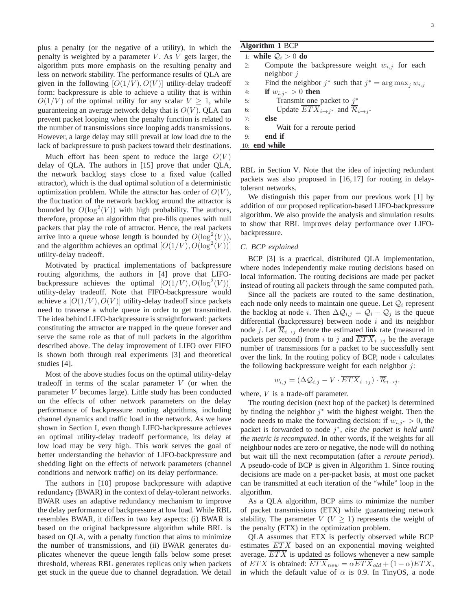plus a penalty (or the negative of a utility), in which the penalty is weighted by a parameter  $V$ . As  $V$  gets larger, the algorithm puts more emphasis on the resulting penalty and less on network stability. The performance results of QLA are given in the following  $[O(1/V), O(V)]$  utility-delay tradeoff form: backpressure is able to achieve a utility that is within  $O(1/V)$  of the optimal utility for any scalar  $V \geq 1$ , while guaranteeing an average network delay that is  $O(V)$ . QLA can prevent packet looping when the penalty function is related to the number of transmissions since looping adds transmissions. However, a large delay may still prevail at low load due to the lack of backpressure to push packets toward their destinations.

Much effort has been spent to reduce the large  $O(V)$ delay of QLA. The authors in [15] prove that under QLA, the network backlog stays close to a fixed value (called attractor), which is the dual optimal solution of a deterministic optimization problem. While the attractor has order of  $O(V)$ , the fluctuation of the network backlog around the attractor is bounded by  $O(log^2(V))$  with high probability. The authors, therefore, propose an algorithm that pre-fills queues with null packets that play the role of attractor. Hence, the real packets arrive into a queue whose length is bounded by  $O(\log^2(V))$ , and the algorithm achieves an optimal  $[O(1/V), O(\log^2(V))]$ utility-delay tradeoff.

Motivated by practical implementations of backpressure routing algorithms, the authors in [4] prove that LIFObackpressure achieves the optimal  $[O(1/V), O(\log^2(V))]$ utility-delay tradeoff. Note that FIFO-backpressure would achieve a  $[O(1/V), O(V)]$  utility-delay tradeoff since packets need to traverse a whole queue in order to get transmitted. The idea behind LIFO-backpressure is straightforward: packets constituting the attractor are trapped in the queue forever and serve the same role as that of null packets in the algorithm described above. The delay improvement of LIFO over FIFO is shown both through real experiments [3] and theoretical studies [4].

Most of the above studies focus on the optimal utility-delay tradeoff in terms of the scalar parameter  $V$  (or when the parameter V becomes large). Little study has been conducted on the effects of other network parameters on the delay performance of backpressure routing algorithms, including channel dynamics and traffic load in the network. As we have shown in Section I, even though LIFO-backpressure achieves an optimal utility-delay tradeoff performance, its delay at low load may be very high. This work serves the goal of better understanding the behavior of LIFO-backpressure and shedding light on the effects of network parameters (channel conditions and network traffic) on its delay performance.

The authors in [10] propose backpressure with adaptive redundancy (BWAR) in the context of delay-tolerant networks. BWAR uses an adaptive redundancy mechanism to improve the delay performance of backpressure at low load. While RBL resembles BWAR, it differs in two key aspects: (i) BWAR is based on the original backpressure algorithm while BRL is based on QLA, with a penalty function that aims to minimize the number of transmissions, and (ii) BWAR generates duplicates whenever the queue length falls below some preset threshold, whereas RBL generates replicas only when packets get stuck in the queue due to channel degradation. We detail

# **Algorithm 1** BCP

|    | 1: while $\mathcal{Q}_i > 0$ do                                                            |
|----|--------------------------------------------------------------------------------------------|
| 2: | Compute the backpressure weight $w_{i,j}$ for each                                         |
|    | neighbor $i$                                                                               |
| 3: | Find the neighbor $j^*$ such that $j^* = \arg \max_j w_{i,j}$                              |
| 4: | if $w_{i,j^*} > 0$ then                                                                    |
| 5: | Transmit one packet to $j^*$                                                               |
| 6: | Update $\overline{ETX}_{i\rightarrow i^*}$ and $\overline{\mathcal{R}}_{i\rightarrow i^*}$ |
| 7: | else                                                                                       |
| 8: | Wait for a reroute period                                                                  |
| 9: | end if                                                                                     |
|    | 10: end while                                                                              |

RBL in Section V. Note that the idea of injecting redundant packets was also proposed in [16, 17] for routing in delaytolerant networks.

We distinguish this paper from our previous work [1] by addition of our proposed replication-based LIFO-backpressure algorithm. We also provide the analysis and simulation results to show that RBL improves delay performance over LIFObackpressure.

## *C. BCP explained*

BCP [3] is a practical, distributed QLA implementation, where nodes independently make routing decisions based on local information. The routing decisions are made per packet instead of routing all packets through the same computed path.

Since all the packets are routed to the same destination, each node only needs to maintain one queue. Let  $\mathcal{Q}_i$  represent the backlog at node *i*. Then  $\Delta \mathcal{Q}_{i,j} = \mathcal{Q}_i - \mathcal{Q}_j$  is the queue differential (backpressure) between node  $i$  and its neighbor node j. Let  $\overline{\mathcal{R}}_{i\to j}$  denote the estimated link rate (measured in packets per second) from i to j and  $ETX_{i\rightarrow j}$  be the average number of transmissions for a packet to be successfully sent over the link. In the routing policy of BCP, node  $i$  calculates the following backpressure weight for each neighbor  $i$ :

$$
w_{i,j} = (\Delta \mathcal{Q}_{i,j} - V \cdot \overline{ETX}_{i \to j}) \cdot \overline{\mathcal{R}}_{i \to j}.
$$

where,  $V$  is a trade-off parameter.

The routing decision (next hop of the packet) is determined by finding the neighbor  $j^*$  with the highest weight. Then the node needs to make the forwarding decision: if  $w_{i,j^*} > 0$ , the packet is forwarded to node j ∗ , *else the packet is held until the metric is recomputed*. In other words, if the weights for all neighbour nodes are zero or negative, the node will do nothing but wait till the next recomputation (after a *reroute period*). A pseudo-code of BCP is given in Algorithm 1. Since routing decisions are made on a per-packet basis, at most one packet can be transmitted at each iteration of the "while" loop in the algorithm.

As a QLA algorithm, BCP aims to minimize the number of packet transmissions (ETX) while guaranteeing network stability. The parameter  $V$  ( $V \geq 1$ ) represents the weight of the penalty (ETX) in the optimization problem.

QLA assumes that ETX is perfectly observed while BCP estimates  $\overline{ETX}$  based on an exponential moving weighted average.  $\overline{ETX}$  is updated as follows whenever a new sample of ETX is obtained:  $\overline{ETX}_{new} = \alpha \overline{ETX}_{old} + (1 - \alpha)ETX$ , in which the default value of  $\alpha$  is 0.9. In TinyOS, a node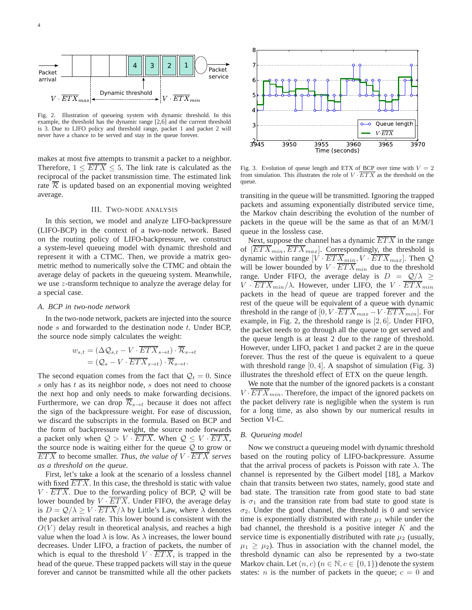

Fig. 2. Illustration of queueing system with dynamic threshold. In this example, the threshold has the dynamic range [2,6] and the current threshold is 3. Due to LIFO policy and threshold range, packet 1 and packet 2 will never have a chance to be served and stay in the queue forever.

makes at most five attempts to transmit a packet to a neighbor. Therefore,  $1 \leq \overline{ETX} \leq 5$ . The link rate is calculated as the reciprocal of the packet transmission time. The estimated link rate  $\overline{\mathcal{R}}$  is updated based on an exponential moving weighted average.

# III. TWO-NODE ANALYSIS

In this section, we model and analyze LIFO-backpressure (LIFO-BCP) in the context of a two-node network. Based on the routing policy of LIFO-backpressure, we construct a system-level queueing model with dynamic threshold and represent it with a CTMC. Then, we provide a matrix geometric method to numerically solve the CTMC and obtain the average delay of packets in the queueing system. Meanwhile, we use z-transform technique to analyze the average delay for a special case.

#### *A. BCP in two-node network*

In the two-node network, packets are injected into the source node s and forwarded to the destination node t. Under BCP, the source node simply calculates the weight:

$$
w_{s,t} = (\Delta \mathcal{Q}_{s,t} - V \cdot \overline{ETX}_{s \to t}) \cdot \overline{\mathcal{R}}_{s \to t}
$$
  
=  $(\mathcal{Q}_s - V \cdot \overline{ETX}_{s \to t}) \cdot \overline{\mathcal{R}}_{s \to t}.$ 

The second equation comes from the fact that  $Q_t = 0$ . Since  $s$  only has  $t$  as its neighbor node,  $s$  does not need to choose the next hop and only needs to make forwarding decisions. Furthermore, we can drop  $\overline{\mathcal{R}}_{s\to t}$  because it does not affect the sign of the backpressure weight. For ease of discussion, we discard the subscripts in the formula. Based on BCP and the form of backpressure weight, the source node forwards a packet only when  $Q > V \cdot ETX$ . When  $Q \leq V \cdot ETX$ , the source node is waiting either for the queue  $Q$  to grow or  $\overline{ETX}$  to become smaller. *Thus, the value of*  $V \cdot \overline{ETX}$  *serves as a threshold on the queue*.

First, let's take a look at the scenario of a lossless channel with fixed  $\overline{ETX}$ . In this case, the threshold is static with value  $V \cdot \overline{ETX}$ . Due to the forwarding policy of BCP, Q will be lower bounded by  $V \cdot \overline{ETX}$ . Under FIFO, the average delay is  $D = Q/\lambda \ge V \cdot \overline{ETX}/\lambda$  by Little's Law, where  $\lambda$  denotes the packet arrival rate. This lower bound is consistent with the  $O(V)$  delay result in theoretical analysis, and reaches a high value when the load  $\lambda$  is low. As  $\lambda$  increases, the lower bound decreases. Under LIFO, a fraction of packets, the number of which is equal to the threshold  $V \cdot \overline{ETX}$ , is trapped in the head of the queue. These trapped packets will stay in the queue forever and cannot be transmitted while all the other packets



Fig. 3. Evolution of queue length and ETX of BCP over time with  $V = 2$ from simulation. This illustrates the role of  $V \cdot \overline{ETX}$  as the threshold on the queue.

transiting in the queue will be transmitted. Ignoring the trapped packets and assuming exponentially distributed service time, the Markov chain describing the evolution of the number of packets in the queue will be the same as that of an M/M/1 queue in the lossless case.

Next, suppose the channel has a dynamic  $\overline{ETX}$  in the range of  $\overrightarrow{ETX}_{min}, \overrightarrow{ETX}_{max}$ . Correspondingly, the threshold is dynamic within range  $[V \cdot \overline{ETX}_{min}, V \cdot \overline{ETX}_{max}]$ . Then Q will be lower bounded by  $V \cdot \overline{ETX}_{min}$  due to the threshold range. Under FIFO, the average delay is  $D = Q/\lambda \ge$  $V \cdot \overline{ETX}_{min}/\lambda$ . However, under LIFO, the  $V \cdot \overline{ETX}_{min}$ packets in the head of queue are trapped forever and the rest of the queue will be equivalent of a queue with dynamic threshold in the range of  $[0, V \cdot \overline{ETX}_{max} - V \cdot \overline{ETX}_{min}]$ . For example, in Fig. 2, the threshold range is [2, 6]. Under FIFO, the packet needs to go through all the queue to get served and the queue length is at least 2 due to the range of threshold. However, under LIFO, packet 1 and packet 2 are in the queue forever. Thus the rest of the queue is equivalent to a queue with threshold range  $[0, 4]$ . A snapshot of simulation (Fig. 3) illustrates the threshold effect of ETX on the queue length.

We note that the number of the ignored packets is a constant  $V \cdot \overline{ETX}_{min}$ . Therefore, the impact of the ignored packets on the packet delivery rate is negligible when the system is run for a long time, as also shown by our numerical results in Section VI-C.

#### *B. Queueing model*

Now we construct a queueing model with dynamic threshold based on the routing policy of LIFO-backpressure. Assume that the arrival process of packets is Poisson with rate  $\lambda$ . The channel is represented by the Gilbert model [18], a Markov chain that transits between two states, namely, good state and bad state. The transition rate from good state to bad state is  $\sigma_1$  and the transition rate from bad state to good state is  $\sigma_2$ . Under the good channel, the threshold is 0 and service time is exponentially distributed with rate  $\mu_1$  while under the bad channel, the threshold is a positive integer  $K$  and the service time is exponentially distributed with rate  $\mu_2$  (usually,  $\mu_1 \geq \mu_2$ ). Thus in association with the channel model, the threshold dynamic can also be represented by a two-state Markov chain. Let  $(n, c)$   $(n \in \mathbb{N}, c \in \{0, 1\})$  denote the system states: *n* is the number of packets in the queue;  $c = 0$  and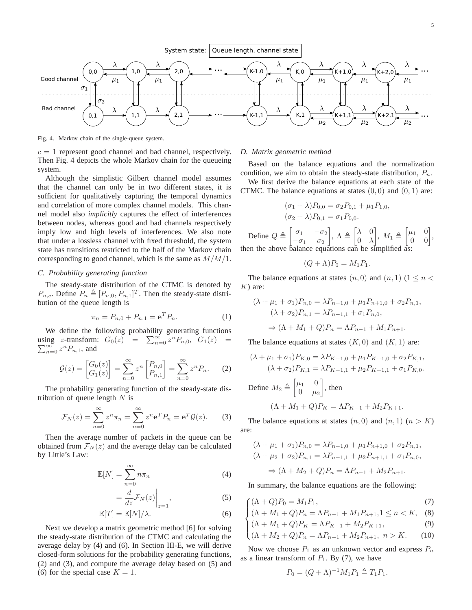

Fig. 4. Markov chain of the single-queue system.

 $c = 1$  represent good channel and bad channel, respectively. Then Fig. 4 depicts the whole Markov chain for the queueing system.

Although the simplistic Gilbert channel model assumes that the channel can only be in two different states, it is sufficient for qualitatively capturing the temporal dynamics and correlation of more complex channel models. This channel model also *implicitly* captures the effect of interferences between nodes, whereas good and bad channels respectively imply low and high levels of interferences. We also note that under a lossless channel with fixed threshold, the system state has transitions restricted to the half of the Markov chain corresponding to good channel, which is the same as  $M/M/1$ .

#### *C. Probability generating function*

The steady-state distribution of the CTMC is denoted by  $P_{n,c}$ . Define  $P_n \triangleq [P_{n,0}, P_{n,1}]^T$ . Then the steady-state distribution of the queue length is

$$
\pi_n = P_{n,0} + P_{n,1} = \mathbf{e}^T P_n.
$$
 (1)

We define the following probability generating functions using z-transform:  $G_0(z) = \sum_{n=0}^{\infty} z^n P_{n,0}$ ,  $G_1(z) =$  $\sum_{n=0}^{\infty} z^n P_{n,1}$ , and

$$
\mathcal{G}(z) = \begin{bmatrix} G_0(z) \\ G_1(z) \end{bmatrix} = \sum_{n=0}^{\infty} z^n \begin{bmatrix} P_{n,0} \\ P_{n,1} \end{bmatrix} = \sum_{n=0}^{\infty} z^n P_n.
$$
 (2)

The probability generating function of the steady-state distribution of queue length  $N$  is

$$
\mathcal{F}_N(z) = \sum_{n=0}^{\infty} z^n \pi_n = \sum_{n=0}^{\infty} z^n \mathbf{e}^T P_n = \mathbf{e}^T \mathcal{G}(z).
$$
 (3)

Then the average number of packets in the queue can be obtained from  $\mathcal{F}_N(z)$  and the average delay can be calculated by Little's Law:

$$
\mathbb{E}[N] = \sum_{n=0}^{\infty} n\pi_n
$$
 (4)

$$
=\frac{d}{dz}\mathcal{F}_N(z)\bigg|_{z=1},\tag{5}
$$

$$
\mathbb{E}[T] = \mathbb{E}[N]/\lambda.
$$
 (6)

Next we develop a matrix geometric method [6] for solving the steady-state distribution of the CTMC and calculating the average delay by (4) and (6). In Section III-E, we will derive closed-form solutions for the probability generating functions, (2) and (3), and compute the average delay based on (5) and (6) for the special case  $K = 1$ .

#### *D. Matrix geometric method*

Based on the balance equations and the normalization condition, we aim to obtain the steady-state distribution,  $P_n$ .

We first derive the balance equations at each state of the CTMC. The balance equations at states  $(0, 0)$  and  $(0, 1)$  are:

$$
(\sigma_1 + \lambda)P_{0,0} = \sigma_2 P_{0,1} + \mu_1 P_{1,0},
$$
  

$$
(\sigma_2 + \lambda)P_{0,1} = \sigma_1 P_{0,0}.
$$

Define  $Q \triangleq \begin{bmatrix} \sigma_1 & -\sigma_2 \\ \sigma_1 & \sigma_2 \end{bmatrix}$  $-\sigma_1$   $\sigma_2$  $\bigg\}, \Lambda \triangleq \begin{bmatrix} \lambda & 0 \\ 0 & \lambda \end{bmatrix}$  $0 \lambda$  $\bigg], M_1 \triangleq \begin{bmatrix} \mu_1 & 0 \\ 0 & 0 \end{bmatrix},$ then the above balance equations can be simplified as:

$$
(Q + \Lambda)P_0 = M_1 P_1.
$$

The balance equations at states  $(n, 0)$  and  $(n, 1)$   $(1 \leq n <$  $K$ ) are:

$$
(\lambda + \mu_1 + \sigma_1)P_{n,0} = \lambda P_{n-1,0} + \mu_1 P_{n+1,0} + \sigma_2 P_{n,1},
$$
  

$$
(\lambda + \sigma_2)P_{n,1} = \lambda P_{n-1,1} + \sigma_1 P_{n,0},
$$
  

$$
\Rightarrow (\Lambda + M_1 + Q)P_n = \Lambda P_{n-1} + M_1 P_{n+1}.
$$

The balance equations at states  $(K, 0)$  and  $(K, 1)$  are:

$$
(\lambda + \mu_1 + \sigma_1)P_{K,0} = \lambda P_{K-1,0} + \mu_1 P_{K+1,0} + \sigma_2 P_{K,1},
$$
  

$$
(\lambda + \sigma_2)P_{K,1} = \lambda P_{K-1,1} + \mu_2 P_{K+1,1} + \sigma_1 P_{K,0}.
$$

Define 
$$
M_2 \triangleq \begin{bmatrix} \mu_1 & 0 \\ 0 & \mu_2 \end{bmatrix}
$$
, then  
\n $(\Lambda + M_1 + Q)P_K = \Lambda P_{K-1} + M_2 P_{K+1}.$ 

The balance equations at states  $(n, 0)$  and  $(n, 1)$   $(n > K)$ are:

$$
(\lambda + \mu_1 + \sigma_1)P_{n,0} = \lambda P_{n-1,0} + \mu_1 P_{n+1,0} + \sigma_2 P_{n,1},
$$
  
\n
$$
(\lambda + \mu_2 + \sigma_2)P_{n,1} = \lambda P_{n-1,1} + \mu_2 P_{n+1,1} + \sigma_1 P_{n,0},
$$
  
\n
$$
\Rightarrow (\Lambda + M_2 + Q)P_n = \Lambda P_{n-1} + M_2 P_{n+1}.
$$

In summary, the balance equations are the following:

$$
\int (\Lambda + Q)P_0 = M_1 P_1,\tag{7}
$$

$$
\left( (\Lambda + M_1 + Q)P_n = \Lambda P_{n-1} + M_1 P_{n+1}, 1 \le n < K, \quad (8) \right)
$$

$$
( \Lambda + M_1 + Q) P_K = \Lambda P_{K-1} + M_2 P_{K+1}, \tag{9}
$$

$$
\left( (\Lambda + M_2 + Q)P_n = \Lambda P_{n-1} + M_2 P_{n+1}, n > K. \right) \tag{10}
$$

Now we choose  $P_1$  as an unknown vector and express  $P_n$ as a linear transform of  $P_1$ . By (7), we have

$$
P_0 = (Q + \Lambda)^{-1} M_1 P_1 \triangleq T_1 P_1.
$$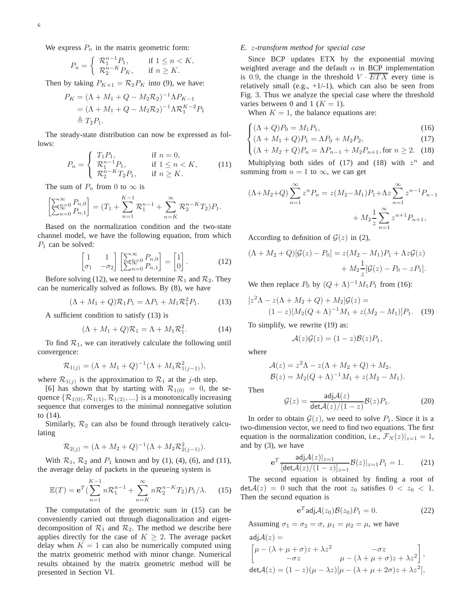We express  $P_n$  in the matrix geometric form:

$$
P_n = \begin{cases} \mathcal{R}_1^{n-1} P_1, & \text{if } 1 \le n < K, \\ \mathcal{R}_2^{n-K} P_K, & \text{if } n \ge K. \end{cases}
$$

Then by taking  $P_{K+1} = \mathcal{R}_2 P_K$  into (9), we have:

$$
P_K = (\Lambda + M_1 + Q - M_2 \mathcal{R}_2)^{-1} \Lambda P_{K-1}
$$
  
= (\Lambda + M\_1 + Q - M\_2 \mathcal{R}\_2)^{-1} \Lambda \mathcal{R}\_1^{K-2} P\_1  

$$
\triangleq T_2 P_1.
$$

The steady-state distribution can now be expressed as follows:

$$
P_n = \begin{cases} T_1 P_1, & \text{if } n = 0, \\ \mathcal{R}_1^{n-1} P_1, & \text{if } 1 \le n < K, \\ \mathcal{R}_2^{n-K} T_2 P_1, & \text{if } n \ge K. \end{cases}
$$
 (11)

The sum of  $P_n$  from 0 to  $\infty$  is

$$
\left[\sum_{n=0}^{\infty} P_{n,0} \atop P_{n,1}\right] = (T_1 + \sum_{n=1}^{K-1} \mathcal{R}_1^{n-1} + \sum_{n=K}^{\infty} \mathcal{R}_2^{n-K} T_2) P_1.
$$

Based on the normalization condition and the two-state channel model, we have the following equation, from which  $P_1$  can be solved:

$$
\begin{bmatrix} 1 & 1 \ \sigma_1 & -\sigma_2 \end{bmatrix} \begin{bmatrix} \sum_{n=0}^{\infty} P_{n,0} \\ \sum_{n=0}^{\infty} P_{n,1} \end{bmatrix} = \begin{bmatrix} 1 \\ 0 \end{bmatrix}.
$$
 (12)

Before solving (12), we need to determine  $\mathcal{R}_1$  and  $\mathcal{R}_2$ . They can be numerically solved as follows. By (8), we have

$$
(\Lambda + M_1 + Q)\mathcal{R}_1 P_1 = \Lambda P_1 + M_1 \mathcal{R}_1^2 P_1.
$$
 (13)

A sufficient condition to satisfy (13) is

$$
(\Lambda + M_1 + Q)\mathcal{R}_1 = \Lambda + M_1 \mathcal{R}_1^2.
$$
 (14)

To find  $\mathcal{R}_1$ , we can iteratively calculate the following until convergence:

$$
\mathcal{R}_{1(j)} = (\Lambda + M_1 + Q)^{-1} (\Lambda + M_1 \mathcal{R}_{1(j-1)}^2),
$$

where  $\mathcal{R}_{1(j)}$  is the approximation to  $\mathcal{R}_1$  at the j-th step.

[6] has shown that by starting with  $\mathcal{R}_{1(0)} = 0$ , the sequence  $\{R_{1(0)}, R_{1(1)}, R_{1(2)}, ...\}$  is a monotonically increasing sequence that converges to the minimal nonnegative solution to (14).

Similarly,  $\mathcal{R}_2$  can also be found through iteratively calculating

$$
\mathcal{R}_{2(j)} = (\Lambda + M_2 + Q)^{-1} (\Lambda + M_2 \mathcal{R}_{2(j-1)}^2).
$$

With  $\mathcal{R}_1$ ,  $\mathcal{R}_2$  and  $P_1$  known and by (1), (4), (6), and (11), the average delay of packets in the queueing system is

$$
\mathbb{E}(T) = \mathbf{e}^T \left( \sum_{n=1}^{K-1} n \mathcal{R}_1^{n-1} + \sum_{n=K}^{\infty} n \mathcal{R}_2^{n-K} T_2 \right) P_1 / \lambda. \tag{15}
$$

The computation of the geometric sum in (15) can be conveniently carried out through diagonalization and eigendecomposition of  $\mathcal{R}_1$  and  $\mathcal{R}_2$ . The method we describe here applies directly for the case of  $K \geq 2$ . The average packet delay when  $K = 1$  can also be numerically computed using the matrix geometric method with minor change. Numerical results obtained by the matrix geometric method will be presented in Section VI.

## *E.* z*-transform method for special case*

Since BCP updates ETX by the exponential moving weighted average and the default  $\alpha$  in BCP implementation is 0.9, the change in the threshold  $V \cdot \overline{ETX}$  every time is relatively small (e.g.,  $+1/-1$ ), which can also be seen from Fig. 3. Thus we analyze the special case where the threshold varies between 0 and 1 ( $K = 1$ ).

When  $K = 1$ , the balance equations are:

$$
\int (\Lambda + Q)P_0 = M_1 P_1,\tag{16}
$$

$$
\begin{cases}\n(1 + M_1 + Q)P_1 = \Lambda P_0 + M_2 P_2,\n\end{cases}
$$
\n(17)

$$
((\Lambda + M_2 + Q)P_n = \Lambda P_{n-1} + M_2 P_{n+1}, \text{for } n \ge 2. \tag{18}
$$

Multiplying both sides of (17) and (18) with  $z^n$  and summing from  $n = 1$  to  $\infty$ , we can get

$$
(\Lambda + M_2 + Q) \sum_{n=1}^{\infty} z^n P_n = z(M_2 - M_1) P_1 + \Lambda z \sum_{n=1}^{\infty} z^{n-1} P_{n-1}
$$

$$
+ M_2 \frac{1}{z} \sum_{n=1}^{\infty} z^{n+1} P_{n+1},
$$

According to definition of  $\mathcal{G}(z)$  in (2),

$$
(\Lambda + M_2 + Q)[\mathcal{G}(z) - P_0] = z(M_2 - M_1)P_1 + \Lambda z \mathcal{G}(z) + M_2 \frac{1}{z}[\mathcal{G}(z) - P_0 - zP_1].
$$

We then replace  $P_0$  by  $(Q + \Lambda)^{-1}M_1P_1$  from (16):

$$
[z2Λ - z(Λ + M2 + Q) + M2]G(z) =
$$
  
(1 - z)[M<sub>2</sub>(Q + Λ)<sup>-1</sup>M<sub>1</sub> + z(M<sub>2</sub> - M<sub>1</sub>)]P<sub>1</sub>. (19)

To simplify, we rewrite (19) as:

$$
\mathcal{A}(z)\mathcal{G}(z) = (1-z)\mathcal{B}(z)P_1,
$$

where

$$
\mathcal{A}(z) = z^2 \Lambda - z(\Lambda + M_2 + Q) + M_2,
$$
  
\n
$$
\mathcal{B}(z) = M_2(Q + \Lambda)^{-1} M_1 + z(M_2 - M_1).
$$

Then

$$
\mathcal{G}(z) = \frac{\text{adj}\mathcal{A}(z)}{\det \mathcal{A}(z)/(1-z)} \mathcal{B}(z) P_1.
$$
 (20)

In order to obtain  $G(z)$ , we need to solve  $P_1$ . Since it is a two-dimension vector, we need to find two equations. The first equation is the normalization condition, i.e.,  $\mathcal{F}_N(z)|_{z=1} = 1$ , and by (3), we have

$$
e^{T} \frac{adj \mathcal{A}(z)|_{z=1}}{[\det \mathcal{A}(z)/(1-z)]_{z=1}} \mathcal{B}(z)|_{z=1} P_1 = 1.
$$
 (21)

The second equation is obtained by finding a root of  $\det A(z) = 0$  such that the root  $z_0$  satisfies  $0 < z_0 < 1$ . Then the second equation is

$$
\mathbf{e}^T \mathbf{adj} \mathcal{A}(z_0) \mathcal{B}(z_0) P_1 = 0. \tag{22}
$$

Assuming  $\sigma_1 = \sigma_2 = \sigma$ ,  $\mu_1 = \mu_2 = \mu$ , we have

$$
\begin{array}{lll} \mathrm{adj}\mathcal{A}(z)= & -\sigma z \\ \begin{bmatrix} \mu-(\lambda+\mu+\sigma)z+\lambda z^2 & -\sigma z \\ -\sigma z & \mu-(\lambda+\mu+\sigma)z+\lambda z^2 \end{bmatrix}, \\ \mathrm{det}\mathcal{A}(z)=(1-z)(\mu-\lambda z)[\mu-(\lambda+\mu+2\sigma)z+\lambda z^2], \end{array}
$$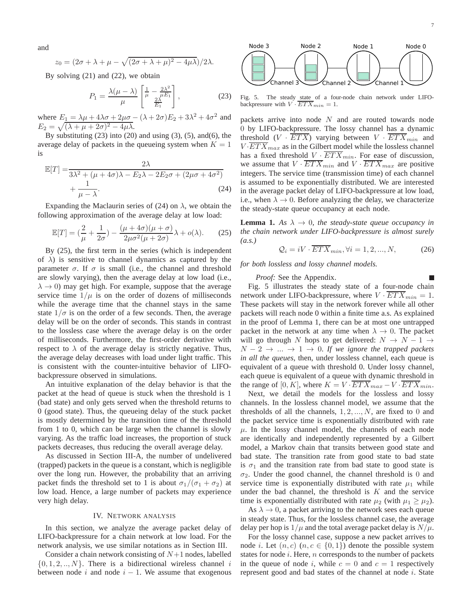and

$$
z_0 = (2\sigma + \lambda + \mu - \sqrt{(2\sigma + \lambda + \mu)^2 - 4\mu\lambda})/2\lambda.
$$

By solving (21) and (22), we obtain

$$
P_1 = \frac{\lambda(\mu - \lambda)}{\mu} \left[ \frac{1}{\mu} - \frac{2\lambda^2}{\mu E_1} \right],\tag{23}
$$

where  $E_1 = \lambda \mu + 4\lambda \sigma + 2\mu \sigma - (\lambda + 2\sigma)E_2 + 3\lambda^2 + 4\sigma^2$  and  $E_2 = \sqrt{(\lambda + \mu + 2\sigma)^2 - 4\mu\lambda}.$ 

By substituting  $(23)$  into  $(20)$  and using  $(3)$ ,  $(5)$ , and $(6)$ , the average delay of packets in the queueing system when  $K = 1$ is

$$
\mathbb{E}[T] = \frac{2\lambda}{3\lambda^2 + (\mu + 4\sigma)\lambda - E_2\lambda - 2E_2\sigma + (2\mu\sigma + 4\sigma^2)} + \frac{1}{\mu - \lambda}.
$$
\n(24)

Expanding the Maclaurin series of (24) on  $\lambda$ , we obtain the following approximation of the average delay at low load:

$$
\mathbb{E}[T] = \left(\frac{2}{\mu} + \frac{1}{2\sigma}\right) - \frac{(\mu + 4\sigma)(\mu + \sigma)}{2\mu\sigma^2(\mu + 2\sigma)}\lambda + o(\lambda). \tag{25}
$$

By (25), the first term in the series (which is independent of  $\lambda$ ) is sensitive to channel dynamics as captured by the parameter  $\sigma$ . If  $\sigma$  is small (i.e., the channel and threshold are slowly varying), then the average delay at low load (i.e.,  $\lambda \rightarrow 0$ ) may get high. For example, suppose that the average service time  $1/\mu$  is on the order of dozens of milliseconds while the average time that the channel stays in the same state  $1/\sigma$  is on the order of a few seconds. Then, the average delay will be on the order of seconds. This stands in contrast to the lossless case where the average delay is on the order of milliseconds. Furthermore, the first-order derivative with respect to  $\lambda$  of the average delay is strictly negative. Thus, the average delay decreases with load under light traffic. This is consistent with the counter-intuitive behavior of LIFObackpressure observed in simulations.

An intuitive explanation of the delay behavior is that the packet at the head of queue is stuck when the threshold is 1 (bad state) and only gets served when the threshold returns to 0 (good state). Thus, the queueing delay of the stuck packet is mostly determined by the transition time of the threshold from 1 to 0, which can be large when the channel is slowly varying. As the traffic load increases, the proportion of stuck packets decreases, thus reducing the overall average delay.

As discussed in Section III-A, the number of undelivered (trapped) packets in the queue is a constant, which is negligible over the long run. However, the probability that an arriving packet finds the threshold set to 1 is about  $\sigma_1/(\sigma_1 + \sigma_2)$  at low load. Hence, a large number of packets may experience very high delay.

## IV. NETWORK ANALYSIS

In this section, we analyze the average packet delay of LIFO-backpressure for a chain network at low load. For the network analysis, we use similar notations as in Section III.

Consider a chain network consisting of  $N+1$  nodes, labelled  $\{0, 1, 2, \ldots, N\}$ . There is a bidirectional wireless channel i between node i and node  $i - 1$ . We assume that exogenous



Fig. 5. The steady state of a four-node chain network under LIFO-backpressure with  $V \cdot \overline{ETX_{min}} = 1$ .

packets arrive into node  $N$  and are routed towards node 0 by LIFO-backpressure. The lossy channel has a dynamic threshold  $(V \cdot \overline{ETX})$  varying between  $V \cdot \overline{ETX}_{min}$  and  $V \cdot \overline{ETX}_{max}$  as in the Gilbert model while the lossless channel has a fixed threshold  $V \cdot \overline{ETX}_{min}$ . For ease of discussion, we assume that  $V \cdot \overline{ETX}_{min}$  and  $V \cdot \overline{ETX}_{max}$  are positive integers. The service time (transmission time) of each channel is assumed to be exponentially distributed. We are interested in the average packet delay of LIFO-backpressure at low load, i.e., when  $\lambda \to 0$ . Before analyzing the delay, we characterize the steady-state queue occupancy at each node.

**Lemma 1.** As  $\lambda \to 0$ , the steady-state queue occupancy in *the chain network under LIFO-backpressure is almost surely (a.s.)*

$$
Q_i = iV \cdot \overline{ETX}_{min}, \forall i = 1, 2, ..., N,
$$
 (26)

*for both lossless and lossy channel models.*

#### *Proof:* See the Appendix.

Fig. 5 illustrates the steady state of a four-node chain network under LIFO-backpressure, where  $V \cdot \overline{ETX}_{min} = 1$ . These packets will stay in the network forever while all other packets will reach node 0 within a finite time a.s. As explained in the proof of Lemma 1, there can be at most one untrapped packet in the network at any time when  $\lambda \to 0$ . The packet will go through N hops to get delivered:  $N \rightarrow N - 1 \rightarrow$  $N-2 \rightarrow ... \rightarrow 1 \rightarrow 0$ . If we ignore the trapped packets *in all the queues*, then, under lossless channel, each queue is equivalent of a queue with threshold 0. Under lossy channel, each queue is equivalent of a queue with dynamic threshold in the range of [0, K], where  $K = V \cdot \overline{ETX}_{max} - V \cdot \overline{ETX}_{min}$ .

Next, we detail the models for the lossless and lossy channels. In the lossless channel model, we assume that the thresholds of all the channels,  $1, 2, ..., N$ , are fixed to 0 and the packet service time is exponentially distributed with rate  $\mu$ . In the lossy channel model, the channels of each node are identically and independently represented by a Gilbert model, a Markov chain that transits between good state and bad state. The transition rate from good state to bad state is  $\sigma_1$  and the transition rate from bad state to good state is  $\sigma_2$ . Under the good channel, the channel threshold is 0 and service time is exponentially distributed with rate  $\mu_1$  while under the bad channel, the threshold is  $K$  and the service time is exponentially distributed with rate  $\mu_2$  (with  $\mu_1 \geq \mu_2$ ).

As  $\lambda \to 0$ , a packet arriving to the network sees each queue in steady state. Thus, for the lossless channel case, the average delay per hop is  $1/\mu$  and the total average packet delay is  $N/\mu$ .

For the lossy channel case, suppose a new packet arrives to node *i*. Let  $(n, c)$   $(n, c \in \{0, 1\})$  denote the possible system states for node  $i$ . Here,  $n$  corresponds to the number of packets in the queue of node i, while  $c = 0$  and  $c = 1$  respectively represent good and bad states of the channel at node i. State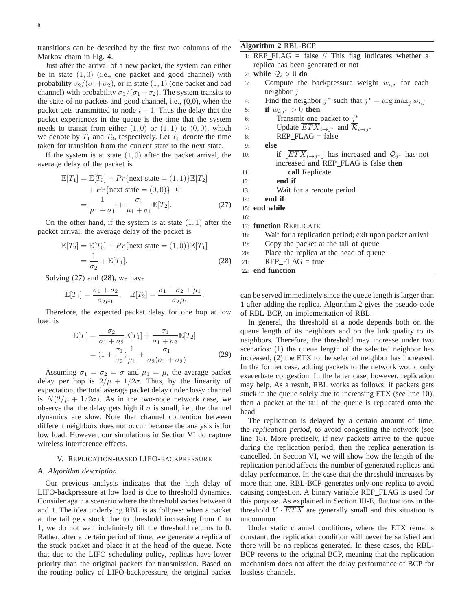transitions can be described by the first two columns of the Markov chain in Fig. 4.

Just after the arrival of a new packet, the system can either be in state  $(1, 0)$  (i.e., one packet and good channel) with probability  $\sigma_2/(\sigma_1+\sigma_2)$ , or in state  $(1, 1)$  (one packet and bad channel) with probability  $\sigma_1/(\sigma_1 + \sigma_2)$ . The system transits to the state of no packets and good channel, i.e., (0,0), when the packet gets transmitted to node  $i - 1$ . Thus the delay that the packet experiences in the queue is the time that the system needs to transit from either  $(1,0)$  or  $(1,1)$  to  $(0,0)$ , which we denote by  $T_1$  and  $T_2$ , respectively. Let  $T_0$  denote the time taken for transition from the current state to the next state.

If the system is at state  $(1, 0)$  after the packet arrival, the average delay of the packet is

$$
\mathbb{E}[T_1] = \mathbb{E}[T_0] + Pr\{\text{next state} = (1, 1)\}\mathbb{E}[T_2]
$$

$$
+ Pr\{\text{next state} = (0, 0)\} \cdot 0
$$

$$
= \frac{1}{\mu_1 + \sigma_1} + \frac{\sigma_1}{\mu_1 + \sigma_1} \mathbb{E}[T_2].
$$
(27)

On the other hand, if the system is at state  $(1, 1)$  after the packet arrival, the average delay of the packet is

$$
\mathbb{E}[T_2] = \mathbb{E}[T_0] + Pr\{\text{next state} = (1,0)\}\mathbb{E}[T_1]
$$

$$
= \frac{1}{\sigma_2} + \mathbb{E}[T_1].
$$
(28)

Solving (27) and (28), we have

$$
\mathbb{E}[T_1] = \frac{\sigma_1 + \sigma_2}{\sigma_2 \mu_1}, \quad \mathbb{E}[T_2] = \frac{\sigma_1 + \sigma_2 + \mu_1}{\sigma_2 \mu_1}.
$$

Therefore, the expected packet delay for one hop at low load is

$$
\mathbb{E}[T] = \frac{\sigma_2}{\sigma_1 + \sigma_2} \mathbb{E}[T_1] + \frac{\sigma_1}{\sigma_1 + \sigma_2} \mathbb{E}[T_2]
$$

$$
= (1 + \frac{\sigma_1}{\sigma_2}) \frac{1}{\mu_1} + \frac{\sigma_1}{\sigma_2(\sigma_1 + \sigma_2)}.
$$
(29)

Assuming  $\sigma_1 = \sigma_2 = \sigma$  and  $\mu_1 = \mu$ , the average packet delay per hop is  $2/\mu + 1/2\sigma$ . Thus, by the linearity of expectation, the total average packet delay under lossy channel is  $N(2/\mu + 1/2\sigma)$ . As in the two-node network case, we observe that the delay gets high if  $\sigma$  is small, i.e., the channel dynamics are slow. Note that channel contention between different neighbors does not occur because the analysis is for low load. However, our simulations in Section VI do capture wireless interference effects.

#### V. REPLICATION-BASED LIFO-BACKPRESSURE

#### *A. Algorithm description*

Our previous analysis indicates that the high delay of LIFO-backpressure at low load is due to threshold dynamics. Consider again a scenario where the threshold varies between 0 and 1. The idea underlying RBL is as follows: when a packet at the tail gets stuck due to threshold increasing from 0 to 1, we do not wait indefinitely till the threshold returns to 0. Rather, after a certain period of time, we generate a replica of the stuck packet and place it at the head of the queue. Note that due to the LIFO scheduling policy, replicas have lower priority than the original packets for transmission. Based on the routing policy of LIFO-backpressure, the original packet

# **Algorithm 2** RBL-BCP

- 1: REP FLAG = false  $//$  This flag indicates whether a replica has been generated or not
- 2: **while**  $Q_i > 0$  **do**
- 3: Compute the backpressure weight  $w_{i,j}$  for each neighbor j

4: Find the neighbor  $j^*$  such that  $j^* = \arg \max_j w_{i,j}$ 

- 5: **if**  $w_{i,j^*} > 0$  **then**
- 6: Transmit one packet to  $j^*$
- 7: Update  $ETX_{i\rightarrow j^*}$  and  $\mathcal{R}_{i\rightarrow j^*}$

$$
8: \qquad \qquad \text{REP\_FLAG} = \text{false}
$$

9: **else**

10: **if**  $\left[ \overline{ETX}_{i \to j^*} \right]$  has increased **and**  $\mathcal{Q}_{j^*}$  has not increased **and** REP FLAG is false **then**

11: **call** Replicate 12: **end if**

- 
- 13: Wait for a reroute period

14: **end if**

15: **end while**

16:

17: **function** REPLICATE

- 18: Wait for a replication period; exit upon packet arrival
- 19: Copy the packet at the tail of queue
- 20: Place the replica at the head of queue

 $21:$  REP\_FLAG = true 22: **end function**

can be served immediately since the queue length is larger than 1 after adding the replica. Algorithm 2 gives the pseudo-code of RBL-BCP, an implementation of RBL.

In general, the threshold at a node depends both on the queue length of its neighbors and on the link quality to its neighbors. Therefore, the threshold may increase under two scenarios: (1) the queue length of the selected neighbor has increased; (2) the ETX to the selected neighbor has increased. In the former case, adding packets to the network would only exacerbate congestion. In the latter case, however, replication may help. As a result, RBL works as follows: if packets gets stuck in the queue solely due to increasing ETX (see line 10), then a packet at the tail of the queue is replicated onto the head.

The replication is delayed by a certain amount of time, the *replication period*, to avoid congesting the network (see line 18). More precisely, if new packets arrive to the queue during the replication period, then the replica generation is cancelled. In Section VI, we will show how the length of the replication period affects the number of generated replicas and delay performance. In the case that the threshold increases by more than one, RBL-BCP generates only one replica to avoid causing congestion. A binary variable REP FLAG is used for this purpose. As explained in Section III-E, fluctuations in the threshold  $V \cdot ETX$  are generally small and this situation is uncommon.

Under static channel conditions, where the ETX remains constant, the replication condition will never be satisfied and there will be no replicas generated. In these cases, the RBL-BCP reverts to the original BCP, meaning that the replication mechanism does not affect the delay performance of BCP for lossless channels.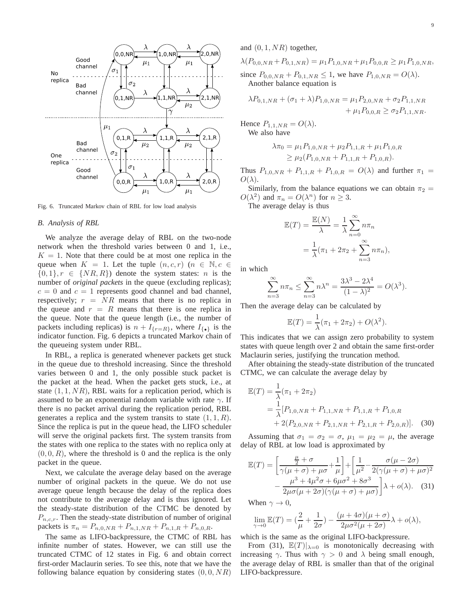

Fig. 6. Truncated Markov chain of RBL for low load analysis

#### *B. Analysis of RBL*

We analyze the average delay of RBL on the two-node network when the threshold varies between 0 and 1, i.e.,  $K = 1$ . Note that there could be at most one replica in the queue when  $K = 1$ . Let the tuple  $(n, c, r)$   $(n \in \mathbb{N}, c \in$  $\{0,1\}, r \in \{NR, R\}$  denote the system states: *n* is the number of *original packets* in the queue (excluding replicas);  $c = 0$  and  $c = 1$  represents good channel and bad channel, respectively;  $r = NR$  means that there is no replica in the queue and  $r = R$  means that there is one replica in the queue. Note that the queue length (i.e., the number of packets including replicas) is  $n + I_{\{r=R\}}$ , where  $I_{\{\bullet\}}$  is the indicator function. Fig. 6 depicts a truncated Markov chain of the queueing system under RBL.

In RBL, a replica is generated whenever packets get stuck in the queue due to threshold increasing. Since the threshold varies between 0 and 1, the only possible stuck packet is the packet at the head. When the packet gets stuck, i.e., at state  $(1, 1, NR)$ , RBL waits for a replication period, which is assumed to be an exponential random variable with rate  $\gamma$ . If there is no packet arrival during the replication period, RBL generates a replica and the system transits to state  $(1, 1, R)$ . Since the replica is put in the queue head, the LIFO scheduler will serve the original packets first. The system transits from the states with one replica to the states with no replica only at  $(0, 0, R)$ , where the threshold is 0 and the replica is the only packet in the queue.

Next, we calculate the average delay based on the average number of original packets in the queue. We do not use average queue length because the delay of the replica does not contribute to the average delay and is thus ignored. Let the steady-state distribution of the CTMC be denoted by  $P_{n,c,r}$ . Then the steady-state distribution of number of original packets is  $\pi_n = P_{n,0,NR} + P_{n,1,NR} + P_{n,1,R} + P_{n,0,R}$ .

The same as LIFO-backpressure, the CTMC of RBL has infinite number of states. However, we can still use the truncated CTMC of 12 states in Fig. 6 and obtain correct first-order Maclaurin series. To see this, note that we have the following balance equation by considering states  $(0, 0, NR)$  and  $(0, 1, NR)$  together,

$$
\lambda(P_{0,0,NR} + P_{0,1,NR}) = \mu_1 P_{1,0,NR} + \mu_1 P_{0,0,R} \ge \mu_1 P_{1,0,NR},
$$

since  $P_{0,0,NR} + P_{0,1,NR} \le 1$ , we have  $P_{1,0,NR} = O(\lambda)$ . Another balance equation is

$$
\lambda P_{0,1,NR} + (\sigma_1 + \lambda) P_{1,0,NR} = \mu_1 P_{2,0,NR} + \sigma_2 P_{1,1,NR} + \mu_1 P_{0,0,R} \ge \sigma_2 P_{1,1,NR}.
$$

Hence  $P_{1,1,NR} = O(\lambda)$ . We also have

> $\lambda \pi_0 = \mu_1 P_{1,0,NR} + \mu_2 P_{1,1,R} + \mu_1 P_{1,0,R}$  $\geq \mu_2(P_{1,0,NR} + P_{1,1,R} + P_{1,0,R}).$

Thus  $P_{1,0,NR} + P_{1,1,R} + P_{1,0,R} = O(\lambda)$  and further  $\pi_1 =$  $O(\lambda)$ .

Similarly, from the balance equations we can obtain  $\pi_2$  =  $O(\lambda^2)$  and  $\pi_n = O(\lambda^n)$  for  $n \geq 3$ .

The average delay is thus

$$
\mathbb{E}(T) = \frac{\mathbb{E}(N)}{\lambda} = \frac{1}{\lambda} \sum_{n=0}^{\infty} n\pi_n
$$

$$
= \frac{1}{\lambda} (\pi_1 + 2\pi_2 + \sum_{n=3}^{\infty} n\pi_n),
$$

in which

$$
\sum_{n=3}^{\infty} n\pi_n \le \sum_{n=3}^{\infty} n\lambda^n = \frac{3\lambda^3 - 2\lambda^4}{(1-\lambda)^2} = O(\lambda^3).
$$

Then the average delay can be calculated by

$$
\mathbb{E}(T) = \frac{1}{\lambda}(\pi_1 + 2\pi_2) + O(\lambda^2).
$$

This indicates that we can assign zero probability to system states with queue length over 2 and obtain the same first-order Maclaurin series, justifying the truncation method.

After obtaining the steady-state distribution of the truncated CTMC, we can calculate the average delay by

$$
\mathbb{E}(T) = \frac{1}{\lambda} (\pi_1 + 2\pi_2)
$$
  
=  $\frac{1}{\lambda} [P_{1,0,NR} + P_{1,1,NR} + P_{1,1,R} + P_{1,0,R}$   
+  $2(P_{2,0,NR} + P_{2,1,NR} + P_{2,1,R} + P_{2,0,R})].$  (30)

Assuming that  $\sigma_1 = \sigma_2 = \sigma$ ,  $\mu_1 = \mu_2 = \mu$ , the average delay of RBL at low load is approximated by

$$
\mathbb{E}(T) = \left[\frac{\frac{\mu}{2} + \sigma}{\gamma(\mu + \sigma) + \mu\sigma} + \frac{1}{\mu}\right] + \left[\frac{1}{\mu^2} - \frac{\sigma(\mu - 2\sigma)}{2(\gamma(\mu + \sigma) + \mu\sigma)^2} - \frac{\mu^3 + 4\mu^2\sigma + 6\mu\sigma^2 + 8\sigma^3}{2\mu\sigma(\mu + 2\sigma)(\gamma(\mu + \sigma) + \mu\sigma)}\right]\lambda + o(\lambda). \quad (31)
$$

When  $\gamma \to 0$ ,

$$
\lim_{\gamma \to 0} \mathbb{E}(T) = \left(\frac{2}{\mu} + \frac{1}{2\sigma}\right) - \frac{(\mu + 4\sigma)(\mu + \sigma)}{2\mu\sigma^2(\mu + 2\sigma)}\lambda + o(\lambda),
$$

which is the same as the original LIFO-backpressure.

From (31),  $\mathbb{E}(T)|_{\lambda=0}$  is monotonically decreasing with increasing  $\gamma$ . Thus with  $\gamma > 0$  and  $\lambda$  being small enough, the average delay of RBL is smaller than that of the original LIFO-backpressure.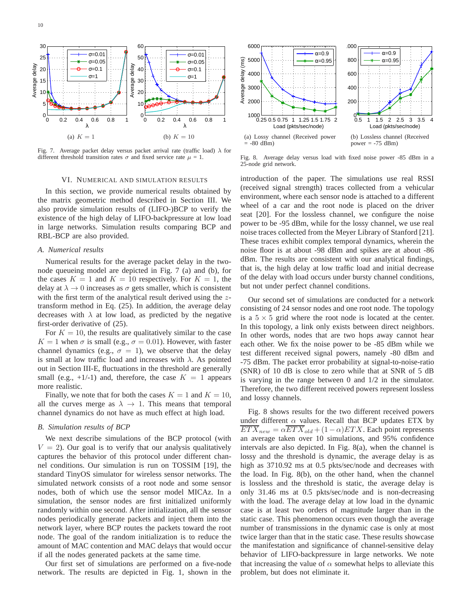

Fig. 7. Average packet delay versus packet arrival rate (traffic load)  $\lambda$  for different threshold transition rates  $\sigma$  and fixed service rate  $\mu = 1$ .

#### VI. NUMERICAL AND SIMULATION RESULTS

In this section, we provide numerical results obtained by the matrix geometric method described in Section III. We also provide simulation results of (LIFO-)BCP to verify the existence of the high delay of LIFO-backpressure at low load in large networks. Simulation results comparing BCP and RBL-BCP are also provided.

# *A. Numerical results*

Numerical results for the average packet delay in the twonode queueing model are depicted in Fig. 7 (a) and (b), for the cases  $K = 1$  and  $K = 10$  respectively. For  $K = 1$ , the delay at  $\lambda \to 0$  increases as  $\sigma$  gets smaller, which is consistent with the first term of the analytical result derived using the ztransform method in Eq. (25). In addition, the average delay decreases with  $\lambda$  at low load, as predicted by the negative first-order derivative of (25).

For  $K = 10$ , the results are qualitatively similar to the case  $K = 1$  when  $\sigma$  is small (e.g.,  $\sigma = 0.01$ ). However, with faster channel dynamics (e.g.,  $\sigma = 1$ ), we observe that the delay is small at low traffic load and increases with  $\lambda$ . As pointed out in Section III-E, fluctuations in the threshold are generally small (e.g.,  $+1/-1$ ) and, therefore, the case  $K = 1$  appears more realistic.

Finally, we note that for both the cases  $K = 1$  and  $K = 10$ , all the curves merge as  $\lambda \rightarrow 1$ . This means that temporal channel dynamics do not have as much effect at high load.

# *B. Simulation results of BCP*

We next describe simulations of the BCP protocol (with  $V = 2$ ). Our goal is to verify that our analysis qualitatively captures the behavior of this protocol under different channel conditions. Our simulation is run on TOSSIM [19], the standard TinyOS simulator for wireless sensor networks. The simulated network consists of a root node and some sensor nodes, both of which use the sensor model MICAz. In a simulation, the sensor nodes are first initialized uniformly randomly within one second. After initialization, all the sensor nodes periodically generate packets and inject them into the network layer, where BCP routes the packets toward the root node. The goal of the random initialization is to reduce the amount of MAC contention and MAC delays that would occur if all the nodes generated packets at the same time.

Our first set of simulations are performed on a five-node network. The results are depicted in Fig. 1, shown in the



Fig. 8. Average delay versus load with fixed noise power -85 dBm in a 25-node grid network.

introduction of the paper. The simulations use real RSSI (received signal strength) traces collected from a vehicular environment, where each sensor node is attached to a different wheel of a car and the root node is placed on the driver seat [20]. For the lossless channel, we configure the noise power to be -95 dBm, while for the lossy channel, we use real noise traces collected from the Meyer Library of Stanford [21]. These traces exhibit complex temporal dynamics, wherein the noise floor is at about -98 dBm and spikes are at about -86 dBm. The results are consistent with our analytical findings, that is, the high delay at low traffic load and initial decrease of the delay with load occurs under bursty channel conditions, but not under perfect channel conditions.

Our second set of simulations are conducted for a network consisting of 24 sensor nodes and one root node. The topology is a  $5 \times 5$  grid where the root node is located at the center. In this topology, a link only exists between direct neighbors. In other words, nodes that are two hops away cannot hear each other. We fix the noise power to be -85 dBm while we test different received signal powers, namely -80 dBm and -75 dBm. The packet error probability at signal-to-noise-ratio (SNR) of 10 dB is close to zero while that at SNR of 5 dB is varying in the range between 0 and 1/2 in the simulator. Therefore, the two different received powers represent lossless and lossy channels.

Fig. 8 shows results for the two different received powers under different  $\alpha$  values. Recall that BCP updates ETX by  $\overline{ETX}_{new} = \alpha \overline{ETX}_{old} + (1-\alpha)ETX$ . Each point represents an average taken over 10 simulations, and 95% confidence intervals are also depicted. In Fig. 8(a), when the channel is lossy and the threshold is dynamic, the average delay is as high as 3710.92 ms at 0.5 pkts/sec/node and decreases with the load. In Fig. 8(b), on the other hand, when the channel is lossless and the threshold is static, the average delay is only 31.46 ms at 0.5 pkts/sec/node and is non-decreasing with the load. The average delay at low load in the dynamic case is at least two orders of magnitude larger than in the static case. This phenomenon occurs even though the average number of transmissions in the dynamic case is only at most twice larger than that in the static case. These results showcase the manifestation and significance of channel-sensitive delay behavior of LIFO-backpressure in large networks. We note that increasing the value of  $\alpha$  somewhat helps to alleviate this problem, but does not eliminate it.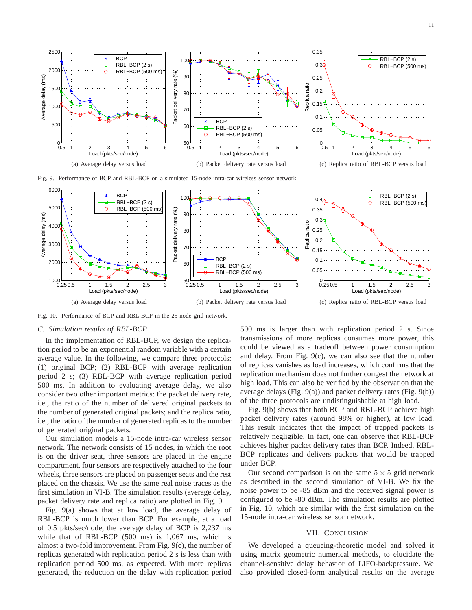

Fig. 9. Performance of BCP and RBL-BCP on a simulated 15-node intra-car wireless sensor network.



Fig. 10. Performance of BCP and RBL-BCP in the 25-node grid network.

# *C. Simulation results of RBL-BCP*

In the implementation of RBL-BCP, we design the replication period to be an exponential random variable with a certain average value. In the following, we compare three protocols: (1) original BCP; (2) RBL-BCP with average replication period 2 s; (3) RBL-BCP with average replication period 500 ms. In addition to evaluating average delay, we also consider two other important metrics: the packet delivery rate, i.e., the ratio of the number of delivered original packets to the number of generated original packets; and the replica ratio, i.e., the ratio of the number of generated replicas to the number of generated original packets.

Our simulation models a 15-node intra-car wireless sensor network. The network consists of 15 nodes, in which the root is on the driver seat, three sensors are placed in the engine compartment, four sensors are respectively attached to the four wheels, three sensors are placed on passenger seats and the rest placed on the chassis. We use the same real noise traces as the first simulation in VI-B. The simulation results (average delay, packet delivery rate and replica ratio) are plotted in Fig. 9.

Fig. 9(a) shows that at low load, the average delay of RBL-BCP is much lower than BCP. For example, at a load of 0.5 pkts/sec/node, the average delay of BCP is 2,237 ms while that of RBL-BCP (500 ms) is 1,067 ms, which is almost a two-fold improvement. From Fig. 9(c), the number of replicas generated with replication period 2 s is less than with replication period 500 ms, as expected. With more replicas generated, the reduction on the delay with replication period

500 ms is larger than with replication period 2 s. Since transmissions of more replicas consumes more power, this could be viewed as a tradeoff between power consumption and delay. From Fig. 9(c), we can also see that the number of replicas vanishes as load increases, which confirms that the replication mechanism does not further congest the network at high load. This can also be verified by the observation that the average delays (Fig. 9(a)) and packet delivery rates (Fig. 9(b)) of the three protocols are undistinguishable at high load.

Fig. 9(b) shows that both BCP and RBL-BCP achieve high packet delivery rates (around 98% or higher), at low load. This result indicates that the impact of trapped packets is relatively negligible. In fact, one can observe that RBL-BCP achieves higher packet delivery rates than BCP. Indeed, RBL-BCP replicates and delivers packets that would be trapped under BCP.

Our second comparison is on the same  $5 \times 5$  grid network as described in the second simulation of VI-B. We fix the noise power to be -85 dBm and the received signal power is configured to be -80 dBm. The simulation results are plotted in Fig. 10, which are similar with the first simulation on the 15-node intra-car wireless sensor network.

# VII. CONCLUSION

We developed a queueing-theoretic model and solved it using matrix geometric numerical methods, to elucidate the channel-sensitive delay behavior of LIFO-backpressure. We also provided closed-form analytical results on the average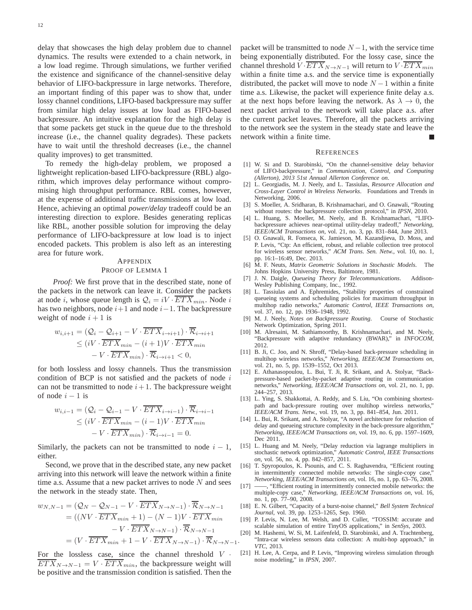delay that showcases the high delay problem due to channel dynamics. The results were extended to a chain network, in a low load regime. Through simulations, we further verified the existence and significance of the channel-sensitive delay behavior of LIFO-backpressure in large networks. Therefore, an important finding of this paper was to show that, under lossy channel conditions, LIFO-based backpressure may suffer from similar high delay issues at low load as FIFO-based backpressure. An intuitive explanation for the high delay is that some packets get stuck in the queue due to the threshold increase (i.e., the channel quality degrades). These packets have to wait until the threshold decreases (i.e., the channel quality improves) to get transmitted.

To remedy the high-delay problem, we proposed a lightweight replication-based LIFO-backpressure (RBL) algorithm, which improves delay performance without compromising high throughput performance. RBL comes, however, at the expense of additional traffic transmissions at low load. Hence, achieving an optimal *power/delay* tradeoff could be an interesting direction to explore. Besides generating replicas like RBL, another possible solution for improving the delay performance of LIFO-backpressure at low load is to inject encoded packets. This problem is also left as an interesting area for future work.

## APPENDIX PROOF OF LEMMA 1

*Proof:* We first prove that in the described state, none of the packets in the network can leave it. Consider the packets at node *i*, whose queue length is  $Q_i = iV \cdot \overline{ETX_{min}}$ . Node *i* has two neighbors, node  $i+1$  and node  $i-1$ . The backpressure weight of node  $i + 1$  is

$$
w_{i,i+1} = (Q_i - Q_{i+1} - V \cdot \overline{ETX}_{i \to i+1}) \cdot \overline{\mathcal{R}}_{i \to i+1}
$$
  
\n
$$
\leq (iV \cdot \overline{ETX}_{min} - (i+1)V \cdot \overline{ETX}_{min}
$$
  
\n
$$
- V \cdot \overline{ETX}_{min}) \cdot \overline{\mathcal{R}}_{i \to i+1} < 0,
$$

for both lossless and lossy channels. Thus the transmission condition of BCP is not satisfied and the packets of node  $i$ can not be transmitted to node  $i + 1$ . The backpressure weight of node  $i - 1$  is

$$
w_{i,i-1} = (Q_i - Q_{i-1} - V \cdot \overline{ETX}_{i \to i-1}) \cdot \overline{\mathcal{R}}_{i \to i-1}
$$
  
 
$$
\leq (iV \cdot \overline{ETX}_{min} - (i-1)V \cdot \overline{ETX}_{min}
$$
  
 
$$
- V \cdot \overline{ETX}_{min}) \cdot \overline{\mathcal{R}}_{i \to i-1} = 0.
$$

Similarly, the packets can not be transmitted to node  $i - 1$ , either.

Second, we prove that in the described state, any new packet arriving into this network will leave the network within a finite time a.s. Assume that a new packet arrives to node  $N$  and sees the network in the steady state. Then,

$$
w_{N,N-1} = (Q_N - Q_{N-1} - V \cdot \overline{ETX}_{N \to N-1}) \cdot \overline{\mathcal{R}}_{N \to N-1}
$$
  
= ((NV \cdot \overline{ETX}\_{min} + 1) - (N - 1)V \cdot \overline{ETX}\_{min}  
-V \cdot \overline{ETX}\_{N \to N-1}) \cdot \overline{\mathcal{R}}\_{N \to N-1}  
= (V \cdot \overline{ETX}\_{min} + 1 - V \cdot \overline{ETX}\_{N \to N-1}) \cdot \overline{\mathcal{R}}\_{N \to N-1}.

For the lossless case, since the channel threshold  $V \cdot$  $\overline{ETX}_{N\rightarrow N-1} = V \cdot \overline{ETX}_{min}$ , the backpressure weight will be positive and the transmission condition is satisfied. Then the packet will be transmitted to node  $N-1$ , with the service time being exponentially distributed. For the lossy case, since the channel threshold  $V \cdot \overline{ETX}_{N \to N-1}$  will return to  $V \cdot \overline{ETX}_{min}$ within a finite time a.s. and the service time is exponentially distributed, the packet will move to node  $N-1$  within a finite time a.s. Likewise, the packet will experience finite delay a.s. at the next hops before leaving the network. As  $\lambda \to 0$ , the next packet arrival to the network will take place a.s. after the current packet leaves. Therefore, all the packets arriving to the network see the system in the steady state and leave the network within a finite time.

#### **REFERENCES**

- [1] W. Si and D. Starobinski, "On the channel-sensitive delay behavior of LIFO-backpressure," in *Communication, Control, and Computing (Allerton), 2013 51st Annual Allerton Conference on*.
- [2] L. Georgiadis, M. J. Neely, and L. Tassiulas, *Resource Allocation and Cross-Layer Control in Wireless Networks*. Foundations and Trends in Networking, 2006.
- [3] S. Moeller, A. Sridharan, B. Krishnamachari, and O. Gnawali, "Routing without routes: the backpressure collection protocol," in *IPSN*, 2010.
- [4] L. Huang, S. Moeller, M. Neely, and B. Krishnamachari, "LIFObackpressure achieves near-optimal utility-delay tradeoff," *Networking, IEEE/ACM Transactions on*, vol. 21, no. 3, pp. 831–844, June 2013.
- [5] O. Gnawali, R. Fonseca, K. Jamieson, M. Kazandjieva, D. Moss, and P. Levis, "Ctp: An efficient, robust, and reliable collection tree protocol for wireless sensor networks," *ACM Trans. Sen. Netw.*, vol. 10, no. 1, pp. 16:1–16:49, Dec. 2013.
- [6] M. F. Neuts, *Matrix Geometric Solutions in Stochastic Models*. The Johns Hopkins University Press, Baltimore, 1981.
- [7] J. N. Daigle, *Queueing Theory for Telecommunications*. Addison-Wesley Publishing Company, Inc., 1992.
- [8] L. Tassiulas and A. Ephremides, "Stability properties of constrained queueing systems and scheduling policies for maximum throughput in multihop radio networks," *Automatic Control, IEEE Transactions on*, vol. 37, no. 12, pp. 1936–1948, 1992.
- [9] M. J. Neely, *Notes on Backpressure Routing*. Course of Stochastic Network Optimization, Spring 2011.
- [10] M. Alresaini, M. Sathiamoorthy, B. Krishnamachari, and M. Neely, "Backpressure with adaptive redundancy (BWAR)," in *INFOCOM*, 2012.
- [11] B. Ji, C. Joo, and N. Shroff, "Delay-based back-pressure scheduling in multihop wireless networks," *Networking, IEEE/ACM Transactions on*, vol. 21, no. 5, pp. 1539–1552, Oct 2013.
- [12] E. Athanasopoulou, L. Bui, T. Ji, R. Srikant, and A. Stolyar, "Backpressure-based packet-by-packet adaptive routing in communication networks," *Networking, IEEE/ACM Transactions on*, vol. 21, no. 1, pp. 244–257, 2013.
- [13] L. Ying, S. Shakkottai, A. Reddy, and S. Liu, "On combining shortestpath and back-pressure routing over multihop wireless networks," *IEEE/ACM Trans. Netw.*, vol. 19, no. 3, pp. 841–854, Jun. 2011.
- [14] L. Bui, R. Srikant, and A. Stolyar, "A novel architecture for reduction of delay and queueing structure complexity in the back-pressure algorithm," *Networking, IEEE/ACM Transactions on*, vol. 19, no. 6, pp. 1597–1609, Dec 2011.
- [15] L. Huang and M. Neely, "Delay reduction via lagrange multipliers in stochastic network optimization," *Automatic Control, IEEE Transactions on*, vol. 56, no. 4, pp. 842–857, 2011.
- [16] T. Spyropoulos, K. Psounis, and C. S. Raghavendra, "Efficient routing in intermittently connected mobile networks: The single-copy case,' *Networking, IEEE/ACM Transactions on*, vol. 16, no. 1, pp. 63–76, 2008.
- [17] ——, "Efficient routing in intermittently connected mobile networks: the multiple-copy case," *Networking, IEEE/ACM Transactions on*, vol. 16, no. 1, pp. 77–90, 2008.
- [18] E. N. Gilbert, "Capacity of a burst-noise channel," *Bell System Technical Journal*, vol. 39, pp. 1253–1265, Sep. 1960.
- [19] P. Levis, N. Lee, M. Welsh, and D. Culler, "TOSSIM: accurate and scalable simulation of entire TinyOS applications," in *SenSys*, 2003.
- [20] M. Hashemi, W. Si, M. Laifenfeld, D. Starobinski, and A. Trachtenberg, "Intra-car wireless sensors data collection: A multi-hop approach," in *VTC*, 2013.
- [21] H. Lee, A. Cerpa, and P. Levis, "Improving wireless simulation through noise modeling," in *IPSN*, 2007.